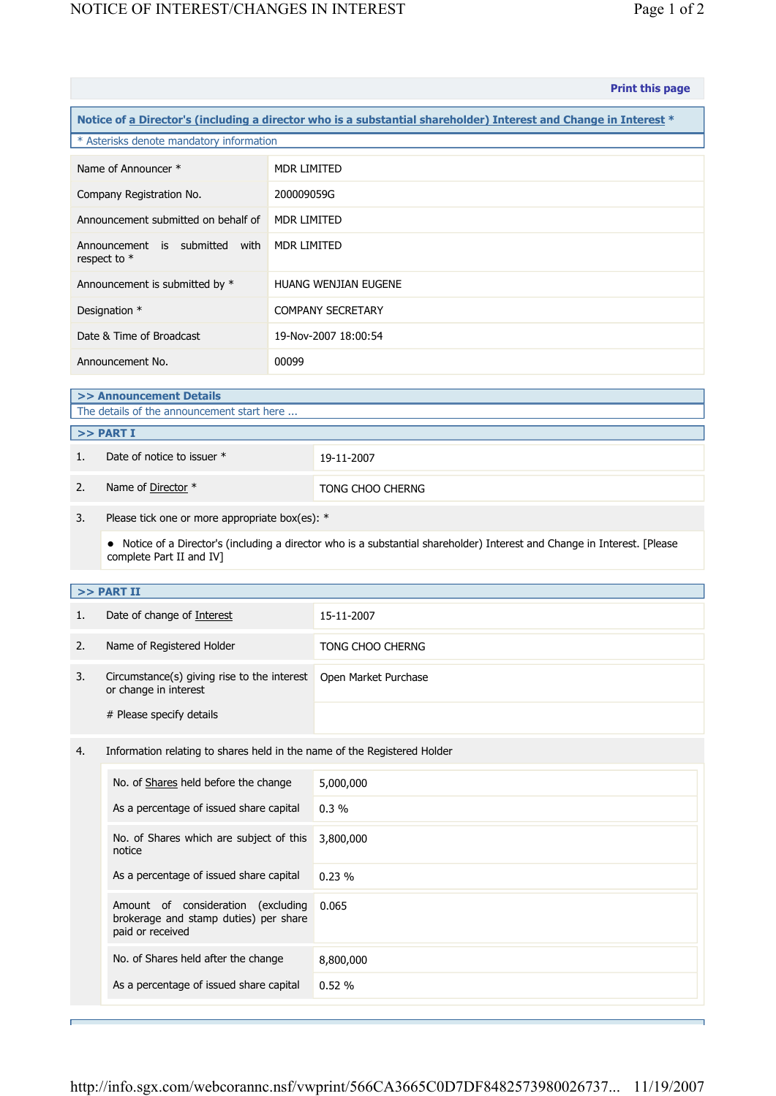|                                                                                                                  |                                                                                                 |                    | <b>Print this page</b>                                                                                                    |  |  |  |  |
|------------------------------------------------------------------------------------------------------------------|-------------------------------------------------------------------------------------------------|--------------------|---------------------------------------------------------------------------------------------------------------------------|--|--|--|--|
| Notice of a Director's (including a director who is a substantial shareholder) Interest and Change in Interest * |                                                                                                 |                    |                                                                                                                           |  |  |  |  |
| * Asterisks denote mandatory information                                                                         |                                                                                                 |                    |                                                                                                                           |  |  |  |  |
| Name of Announcer *                                                                                              |                                                                                                 | MDR LIMITED        |                                                                                                                           |  |  |  |  |
| Company Registration No.                                                                                         |                                                                                                 | 200009059G         |                                                                                                                           |  |  |  |  |
| Announcement submitted on behalf of                                                                              |                                                                                                 | <b>MDR LIMITED</b> |                                                                                                                           |  |  |  |  |
| Announcement is submitted with<br>respect to *                                                                   |                                                                                                 | <b>MDR LIMITED</b> |                                                                                                                           |  |  |  |  |
| Announcement is submitted by *                                                                                   |                                                                                                 |                    | <b>HUANG WENJIAN EUGENE</b>                                                                                               |  |  |  |  |
| Designation *                                                                                                    |                                                                                                 |                    | <b>COMPANY SECRETARY</b>                                                                                                  |  |  |  |  |
| Date & Time of Broadcast                                                                                         |                                                                                                 |                    | 19-Nov-2007 18:00:54                                                                                                      |  |  |  |  |
| Announcement No.                                                                                                 |                                                                                                 | 00099              |                                                                                                                           |  |  |  |  |
| >> Announcement Details                                                                                          |                                                                                                 |                    |                                                                                                                           |  |  |  |  |
| The details of the announcement start here                                                                       |                                                                                                 |                    |                                                                                                                           |  |  |  |  |
| >> PART I                                                                                                        |                                                                                                 |                    |                                                                                                                           |  |  |  |  |
| 1.                                                                                                               | Date of notice to issuer *                                                                      |                    | 19-11-2007                                                                                                                |  |  |  |  |
| 2.                                                                                                               | Name of Director *                                                                              |                    | TONG CHOO CHERNG                                                                                                          |  |  |  |  |
| 3.                                                                                                               | Please tick one or more appropriate box(es): *                                                  |                    |                                                                                                                           |  |  |  |  |
|                                                                                                                  | complete Part II and IV]                                                                        |                    | • Notice of a Director's (including a director who is a substantial shareholder) Interest and Change in Interest. [Please |  |  |  |  |
|                                                                                                                  | >> PART II                                                                                      |                    |                                                                                                                           |  |  |  |  |
| 1.                                                                                                               | Date of change of Interest                                                                      |                    | 15-11-2007                                                                                                                |  |  |  |  |
| 2.                                                                                                               | Name of Registered Holder                                                                       |                    | TONG CHOO CHERNG                                                                                                          |  |  |  |  |
| 3.                                                                                                               | Circumstance(s) giving rise to the interest<br>or change in interest                            |                    | Open Market Purchase                                                                                                      |  |  |  |  |
|                                                                                                                  | # Please specify details                                                                        |                    |                                                                                                                           |  |  |  |  |
| 4.                                                                                                               | Information relating to shares held in the name of the Registered Holder                        |                    |                                                                                                                           |  |  |  |  |
|                                                                                                                  | No. of Shares held before the change                                                            |                    | 5,000,000                                                                                                                 |  |  |  |  |
|                                                                                                                  | As a percentage of issued share capital                                                         |                    | 0.3%                                                                                                                      |  |  |  |  |
|                                                                                                                  | No. of Shares which are subject of this<br>notice                                               |                    | 3,800,000                                                                                                                 |  |  |  |  |
|                                                                                                                  | As a percentage of issued share capital                                                         |                    | 0.23%                                                                                                                     |  |  |  |  |
|                                                                                                                  | Amount of consideration (excluding<br>brokerage and stamp duties) per share<br>paid or received |                    | 0.065                                                                                                                     |  |  |  |  |
|                                                                                                                  | No. of Shares held after the change                                                             |                    | 8,800,000                                                                                                                 |  |  |  |  |
|                                                                                                                  | As a percentage of issued share capital                                                         |                    | 0.52%                                                                                                                     |  |  |  |  |
|                                                                                                                  |                                                                                                 |                    |                                                                                                                           |  |  |  |  |

Е